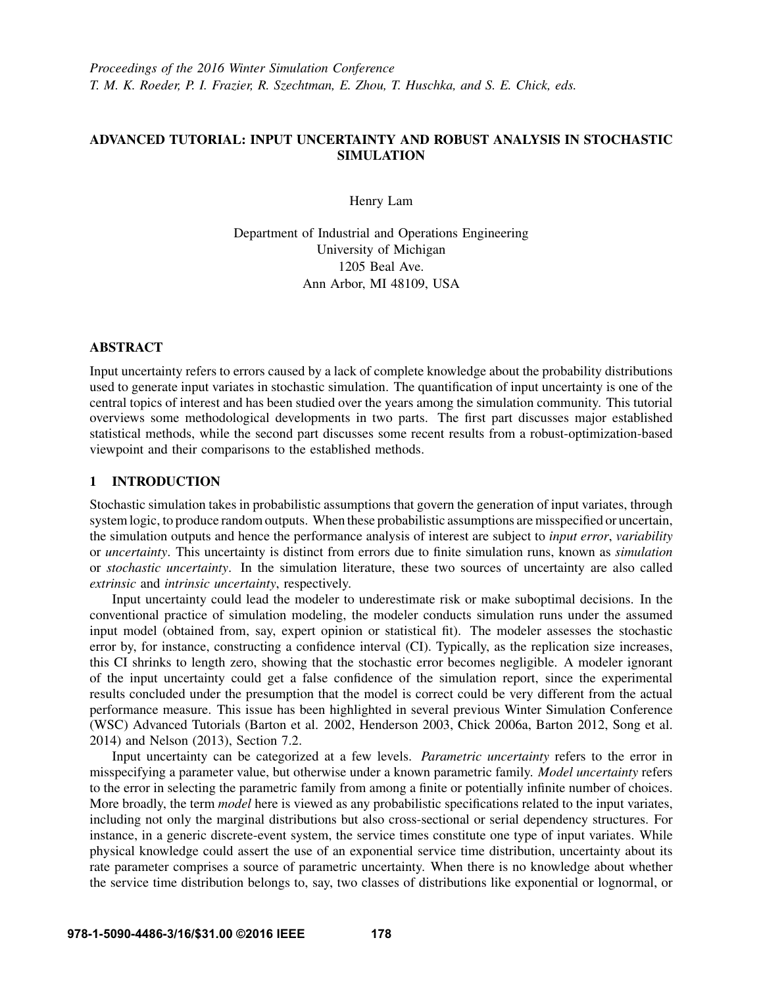# ADVANCED TUTORIAL: INPUT UNCERTAINTY AND ROBUST ANALYSIS IN STOCHASTIC SIMULATION

Henry Lam

Department of Industrial and Operations Engineering University of Michigan 1205 Beal Ave. Ann Arbor, MI 48109, USA

## ABSTRACT

Input uncertainty refers to errors caused by a lack of complete knowledge about the probability distributions used to generate input variates in stochastic simulation. The quantification of input uncertainty is one of the central topics of interest and has been studied over the years among the simulation community. This tutorial overviews some methodological developments in two parts. The first part discusses major established statistical methods, while the second part discusses some recent results from a robust-optimization-based viewpoint and their comparisons to the established methods.

# 1 INTRODUCTION

Stochastic simulation takes in probabilistic assumptions that govern the generation of input variates, through system logic, to produce random outputs. When these probabilistic assumptions are misspecified or uncertain, the simulation outputs and hence the performance analysis of interest are subject to *input error*, *variability* or *uncertainty*. This uncertainty is distinct from errors due to finite simulation runs, known as *simulation* or *stochastic uncertainty*. In the simulation literature, these two sources of uncertainty are also called *extrinsic* and *intrinsic uncertainty*, respectively.

Input uncertainty could lead the modeler to underestimate risk or make suboptimal decisions. In the conventional practice of simulation modeling, the modeler conducts simulation runs under the assumed input model (obtained from, say, expert opinion or statistical fit). The modeler assesses the stochastic error by, for instance, constructing a confidence interval (CI). Typically, as the replication size increases, this CI shrinks to length zero, showing that the stochastic error becomes negligible. A modeler ignorant of the input uncertainty could get a false confidence of the simulation report, since the experimental results concluded under the presumption that the model is correct could be very different from the actual performance measure. This issue has been highlighted in several previous Winter Simulation Conference (WSC) Advanced Tutorials (Barton et al. 2002, Henderson 2003, Chick 2006a, Barton 2012, Song et al. 2014) and Nelson (2013), Section 7.2.

Input uncertainty can be categorized at a few levels. *Parametric uncertainty* refers to the error in misspecifying a parameter value, but otherwise under a known parametric family. *Model uncertainty* refers to the error in selecting the parametric family from among a finite or potentially infinite number of choices. More broadly, the term *model* here is viewed as any probabilistic specifications related to the input variates, including not only the marginal distributions but also cross-sectional or serial dependency structures. For instance, in a generic discrete-event system, the service times constitute one type of input variates. While physical knowledge could assert the use of an exponential service time distribution, uncertainty about its rate parameter comprises a source of parametric uncertainty. When there is no knowledge about whether the service time distribution belongs to, say, two classes of distributions like exponential or lognormal, or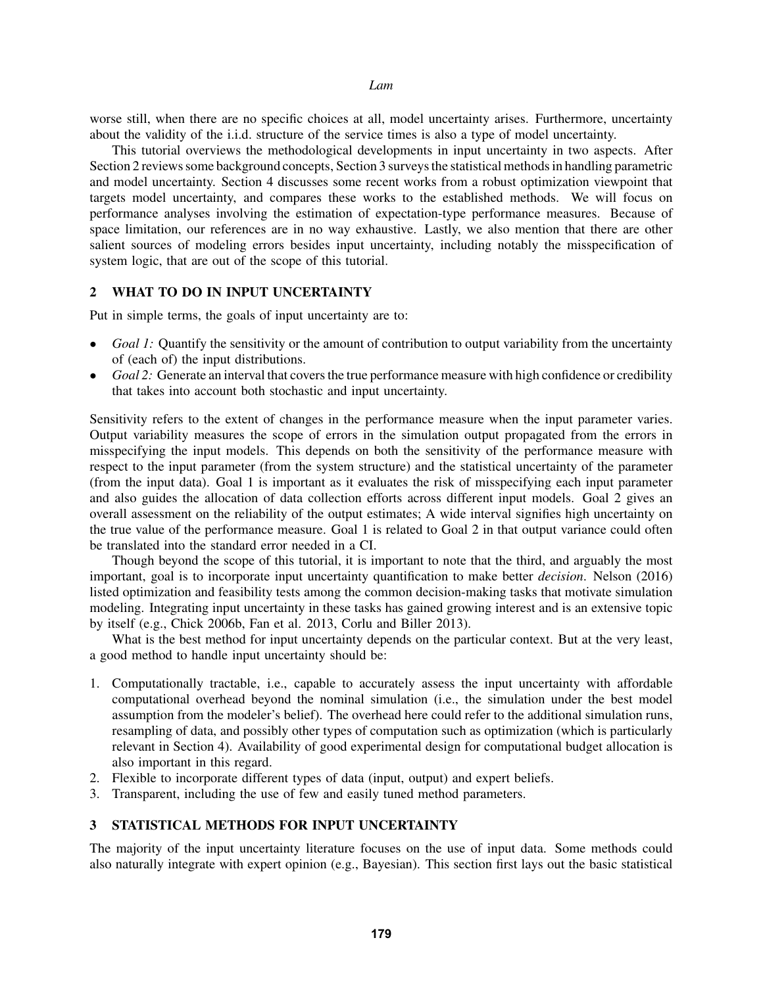worse still, when there are no specific choices at all, model uncertainty arises. Furthermore, uncertainty about the validity of the i.i.d. structure of the service times is also a type of model uncertainty.

This tutorial overviews the methodological developments in input uncertainty in two aspects. After Section 2 reviews some background concepts, Section 3 surveys the statistical methods in handling parametric and model uncertainty. Section 4 discusses some recent works from a robust optimization viewpoint that targets model uncertainty, and compares these works to the established methods. We will focus on performance analyses involving the estimation of expectation-type performance measures. Because of space limitation, our references are in no way exhaustive. Lastly, we also mention that there are other salient sources of modeling errors besides input uncertainty, including notably the misspecification of system logic, that are out of the scope of this tutorial.

# 2 WHAT TO DO IN INPUT UNCERTAINTY

Put in simple terms, the goals of input uncertainty are to:

- *Goal 1:* Quantify the sensitivity or the amount of contribution to output variability from the uncertainty of (each of) the input distributions.
- *Goal 2:* Generate an interval that covers the true performance measure with high confidence or credibility that takes into account both stochastic and input uncertainty.

Sensitivity refers to the extent of changes in the performance measure when the input parameter varies. Output variability measures the scope of errors in the simulation output propagated from the errors in misspecifying the input models. This depends on both the sensitivity of the performance measure with respect to the input parameter (from the system structure) and the statistical uncertainty of the parameter (from the input data). Goal 1 is important as it evaluates the risk of misspecifying each input parameter and also guides the allocation of data collection efforts across different input models. Goal 2 gives an overall assessment on the reliability of the output estimates; A wide interval signifies high uncertainty on the true value of the performance measure. Goal 1 is related to Goal 2 in that output variance could often be translated into the standard error needed in a CI.

Though beyond the scope of this tutorial, it is important to note that the third, and arguably the most important, goal is to incorporate input uncertainty quantification to make better *decision*. Nelson (2016) listed optimization and feasibility tests among the common decision-making tasks that motivate simulation modeling. Integrating input uncertainty in these tasks has gained growing interest and is an extensive topic by itself (e.g., Chick 2006b, Fan et al. 2013, Corlu and Biller 2013).

What is the best method for input uncertainty depends on the particular context. But at the very least, a good method to handle input uncertainty should be:

- 1. Computationally tractable, i.e., capable to accurately assess the input uncertainty with affordable computational overhead beyond the nominal simulation (i.e., the simulation under the best model assumption from the modeler's belief). The overhead here could refer to the additional simulation runs, resampling of data, and possibly other types of computation such as optimization (which is particularly relevant in Section 4). Availability of good experimental design for computational budget allocation is also important in this regard.
- 2. Flexible to incorporate different types of data (input, output) and expert beliefs.
- 3. Transparent, including the use of few and easily tuned method parameters.

## 3 STATISTICAL METHODS FOR INPUT UNCERTAINTY

The majority of the input uncertainty literature focuses on the use of input data. Some methods could also naturally integrate with expert opinion (e.g., Bayesian). This section first lays out the basic statistical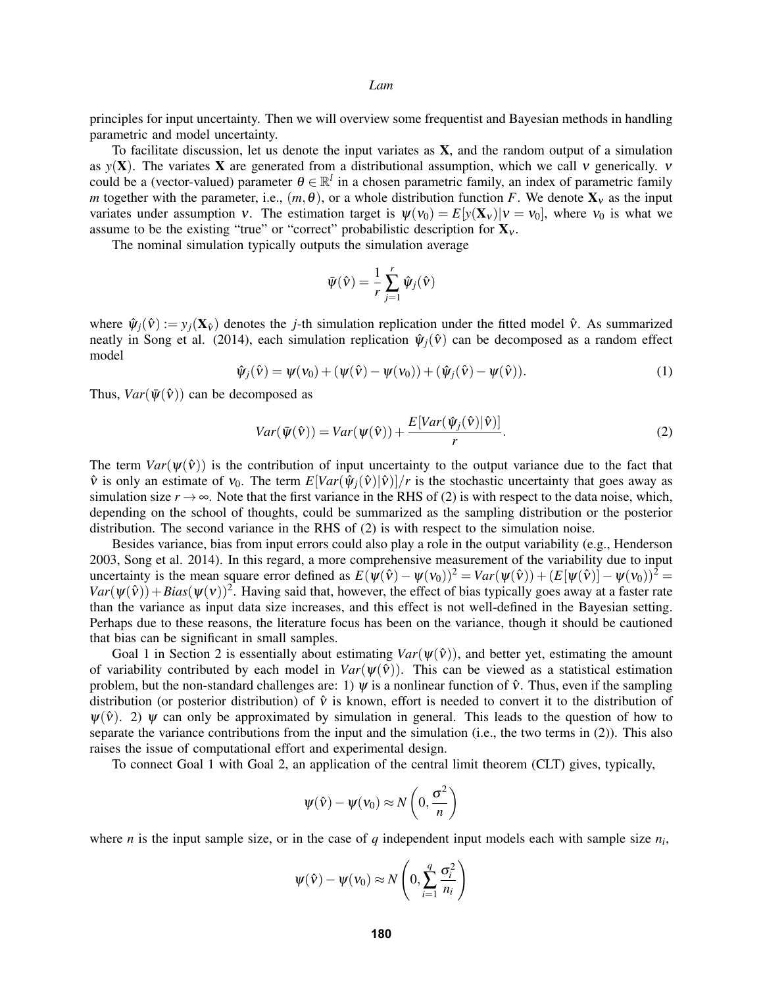principles for input uncertainty. Then we will overview some frequentist and Bayesian methods in handling parametric and model uncertainty.

To facilitate discussion, let us denote the input variates as  $X$ , and the random output of a simulation as  $y(X)$ . The variates X are generated from a distributional assumption, which we call v generically. *v* could be a (vector-valued) parameter  $\theta \in \mathbb{R}^l$  in a chosen parametric family, an index of parametric family *m* together with the parameter, i.e.,  $(m, \theta)$ , or a whole distribution function *F*. We denote  $X_v$  as the input variates under assumption v. The estimation target is  $\psi(v_0) = E[y(\mathbf{X}_v)|v = v_0]$ , where  $v_0$  is what we assume to be the existing "true" or "correct" probabilistic description for  $X_v$ .

The nominal simulation typically outputs the simulation average

$$
\bar{\psi}(\hat{v}) = \frac{1}{r} \sum_{j=1}^{r} \hat{\psi}_j(\hat{v})
$$

where  $\hat{\psi}_i(\hat{v}) := y_i(\mathbf{X}_{\hat{v}})$  denotes the *j*-th simulation replication under the fitted model  $\hat{v}$ . As summarized neatly in Song et al. (2014), each simulation replication  $\hat{\psi}_i(\hat{v})$  can be decomposed as a random effect model

$$
\hat{\psi}_j(\hat{\mathbf{v}}) = \psi(\mathbf{v}_0) + (\psi(\hat{\mathbf{v}}) - \psi(\mathbf{v}_0)) + (\hat{\psi}_j(\hat{\mathbf{v}}) - \psi(\hat{\mathbf{v}})).
$$
\n(1)

Thus,  $Var(\bar{\psi}(\hat{v}))$  can be decomposed as

$$
Var(\bar{\psi}(\hat{v})) = Var(\psi(\hat{v})) + \frac{E[Var(\hat{\psi}_j(\hat{v})|\hat{v})]}{r}.
$$
\n(2)

The term  $Var(\psi(\hat{v}))$  is the contribution of input uncertainty to the output variance due to the fact that  $\hat{v}$  is only an estimate of  $v_0$ . The term  $E[Var(\hat{\psi}_i(\hat{v})|\hat{v})]/r$  is the stochastic uncertainty that goes away as simulation size  $r \to \infty$ . Note that the first variance in the RHS of (2) is with respect to the data noise, which, depending on the school of thoughts, could be summarized as the sampling distribution or the posterior distribution. The second variance in the RHS of (2) is with respect to the simulation noise.

Besides variance, bias from input errors could also play a role in the output variability (e.g., Henderson 2003, Song et al. 2014). In this regard, a more comprehensive measurement of the variability due to input uncertainty is the mean square error defined as  $E(\psi(\hat{v}) - \psi(v_0))^2 = Var(\psi(\hat{v})) + (E[\psi(\hat{v})] - \psi(v_0))^2 =$  $Var(\psi(\hat{v})) + Bias(\psi(v))^2$ . Having said that, however, the effect of bias typically goes away at a faster rate than the variance as input data size increases, and this effect is not well-defined in the Bayesian setting. Perhaps due to these reasons, the literature focus has been on the variance, though it should be cautioned that bias can be significant in small samples.

Goal 1 in Section 2 is essentially about estimating  $Var(\psi(\hat{v}))$ , and better yet, estimating the amount of variability contributed by each model in  $Var(\psi(\hat{v}))$ . This can be viewed as a statistical estimation problem, but the non-standard challenges are: 1)  $\psi$  is a nonlinear function of  $\hat{v}$ . Thus, even if the sampling distribution (or posterior distribution) of  $\hat{v}$  is known, effort is needed to convert it to the distribution of  $\psi(\hat{v})$ . 2)  $\psi$  can only be approximated by simulation in general. This leads to the question of how to separate the variance contributions from the input and the simulation (i.e., the two terms in (2)). This also raises the issue of computational effort and experimental design.

To connect Goal 1 with Goal 2, an application of the central limit theorem (CLT) gives, typically,

$$
\psi(\hat{\mathbf{v}}) - \psi(v_0) \approx N\left(0, \frac{\sigma^2}{n}\right)
$$

where *n* is the input sample size, or in the case of  $q$  independent input models each with sample size  $n_i$ ,

$$
\psi(\hat{\mathbf{v}}) - \psi(\mathbf{v}_0) \approx N\left(0, \sum_{i=1}^{q} \frac{\sigma_i^2}{n_i}\right)
$$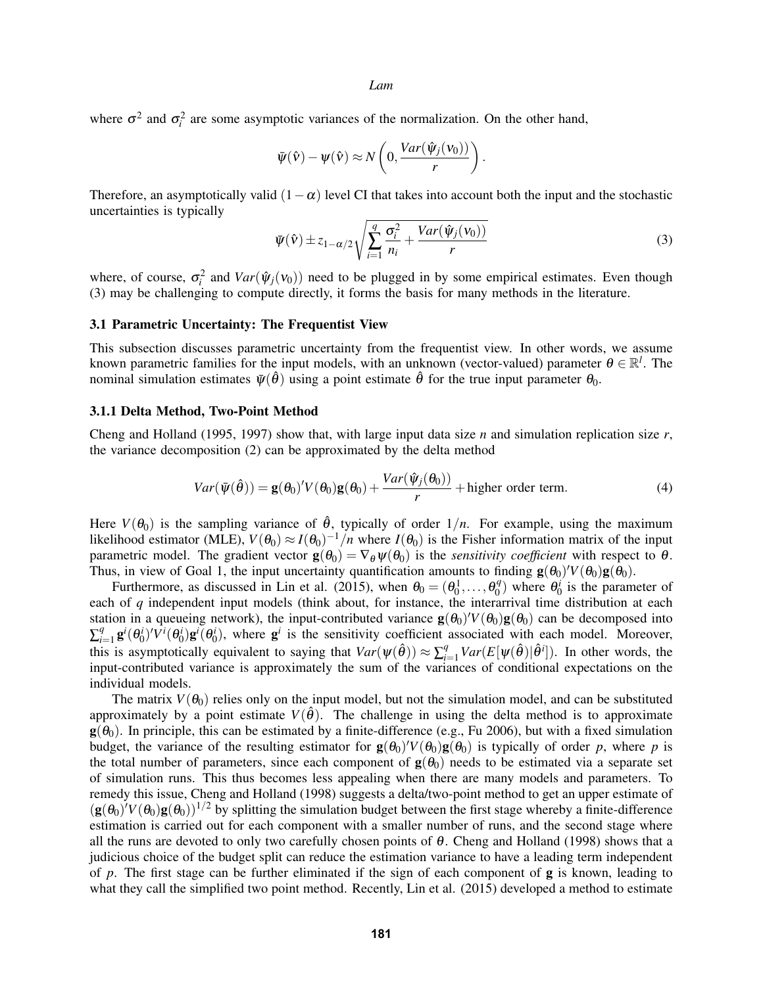where  $\sigma^2$  and  $\sigma_i^2$  are some asymptotic variances of the normalization. On the other hand,

$$
\bar{\psi}(\hat{v}) - \psi(\hat{v}) \approx N\left(0, \frac{Var(\hat{\psi}_j(v_0))}{r}\right).
$$

Therefore, an asymptotically valid  $(1-\alpha)$  level CI that takes into account both the input and the stochastic uncertainties is typically

$$
\bar{\psi}(\hat{\mathbf{v}}) \pm z_{1-\alpha/2} \sqrt{\sum_{i=1}^{q} \frac{\sigma_i^2}{n_i} + \frac{Var(\hat{\psi}_j(\mathbf{v}_0))}{r}}
$$
(3)

where, of course,  $\sigma_i^2$  and  $Var(\hat{\psi}_j(v_0))$  need to be plugged in by some empirical estimates. Even though (3) may be challenging to compute directly, it forms the basis for many methods in the literature.

#### 3.1 Parametric Uncertainty: The Frequentist View

This subsection discusses parametric uncertainty from the frequentist view. In other words, we assume known parametric families for the input models, with an unknown (vector-valued) parameter  $\theta \in \mathbb{R}^l$ . The nominal simulation estimates  $\bar{\psi}(\hat{\theta})$  using a point estimate  $\hat{\theta}$  for the true input parameter  $\theta_0$ .

### 3.1.1 Delta Method, Two-Point Method

Cheng and Holland (1995, 1997) show that, with large input data size *n* and simulation replication size *r*, the variance decomposition (2) can be approximated by the delta method

$$
Var(\bar{\psi}(\hat{\theta})) = \mathbf{g}(\theta_0)'V(\theta_0)\mathbf{g}(\theta_0) + \frac{Var(\hat{\psi}_j(\theta_0))}{r} + \text{higher order term.}
$$
\n(4)

Here  $V(\theta_0)$  is the sampling variance of  $\hat{\theta}$ , typically of order  $1/n$ . For example, using the maximum likelihood estimator (MLE),  $V(\theta_0) \approx I(\theta_0)^{-1}/n$  where  $I(\theta_0)$  is the Fisher information matrix of the input parametric model. The gradient vector  $\mathbf{g}(\theta_0) = \nabla_{\theta} \psi(\theta_0)$  is the *sensitivity coefficient* with respect to  $\theta$ . Thus, in view of Goal 1, the input uncertainty quantification amounts to finding  $\mathbf{g}(\theta_0)'V(\theta_0)\mathbf{g}(\theta_0)$ .

Furthermore, as discussed in Lin et al. (2015), when  $\theta_0 = (\theta_0^1, \dots, \theta_0^q)$  $\theta_0^q$ ) where  $\theta_0^i$  is the parameter of each of *q* independent input models (think about, for instance, the interarrival time distribution at each station in a queueing network), the input-contributed variance  $g(\theta_0)'V(\theta_0)g(\theta_0)$  can be decomposed into  $\sum_{i=1}^{q}$  $e_i^q = \mathbf{g}^i(\theta_0^i)'V^i(\theta_0^i)\mathbf{g}^i(\theta_0^i)$ , where  $\mathbf{g}^i$  is the sensitivity coefficient associated with each model. Moreover, this is asymptotically equivalent to saying that  $Var(\psi(\hat{\theta})) \approx \sum_{i=1}^{q} Var(E[\psi(\hat{\theta})|\hat{\theta}^{i}])$ . In other words, the input-contributed variance is approximately the sum of the variances of conditional expectations on the individual models.

The matrix  $V(\theta_0)$  relies only on the input model, but not the simulation model, and can be substituted approximately by a point estimate  $V(\hat{\theta})$ . The challenge in using the delta method is to approximate  $g(\theta_0)$ . In principle, this can be estimated by a finite-difference (e.g., Fu 2006), but with a fixed simulation budget, the variance of the resulting estimator for  $g(\theta_0)'V(\theta_0)g(\theta_0)$  is typically of order *p*, where *p* is the total number of parameters, since each component of  $g(\theta_0)$  needs to be estimated via a separate set of simulation runs. This thus becomes less appealing when there are many models and parameters. To remedy this issue, Cheng and Holland (1998) suggests a delta/two-point method to get an upper estimate of  $(g(\theta_0)'V(\theta_0)g(\theta_0))^{1/2}$  by splitting the simulation budget between the first stage whereby a finite-difference estimation is carried out for each component with a smaller number of runs, and the second stage where all the runs are devoted to only two carefully chosen points of  $\theta$ . Cheng and Holland (1998) shows that a judicious choice of the budget split can reduce the estimation variance to have a leading term independent of *p*. The first stage can be further eliminated if the sign of each component of g is known, leading to what they call the simplified two point method. Recently, Lin et al. (2015) developed a method to estimate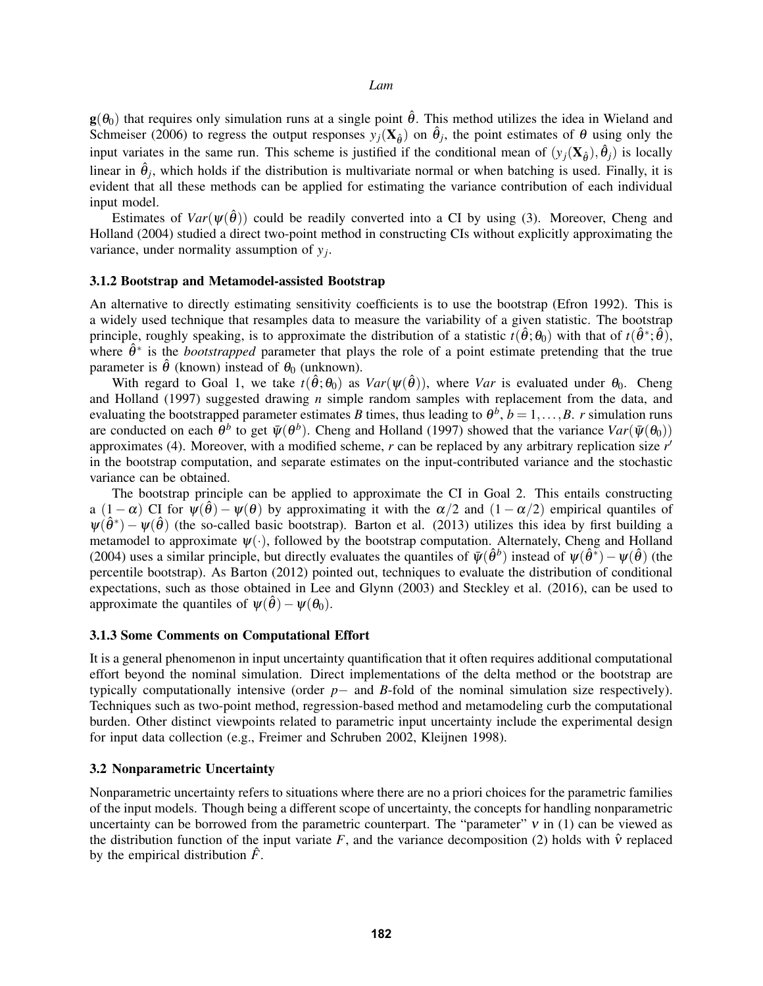$g(\theta_0)$  that requires only simulation runs at a single point  $\hat{\theta}$ . This method utilizes the idea in Wieland and Schmeiser (2006) to regress the output responses  $y_j(\mathbf{X}_{\hat{\theta}})$  on  $\hat{\theta}_j$ , the point estimates of  $\theta$  using only the input variates in the same run. This scheme is justified if the conditional mean of  $(y_j(\mathbf{X}_{\hat{\theta}}), \hat{\theta}_j)$  is locally linear in  $\hat{\theta}_j$ , which holds if the distribution is multivariate normal or when batching is used. Finally, it is evident that all these methods can be applied for estimating the variance contribution of each individual input model.

Estimates of  $Var(\psi(\hat{\theta}))$  could be readily converted into a CI by using (3). Moreover, Cheng and Holland (2004) studied a direct two-point method in constructing CIs without explicitly approximating the variance, under normality assumption of *y<sup>j</sup>* .

### 3.1.2 Bootstrap and Metamodel-assisted Bootstrap

An alternative to directly estimating sensitivity coefficients is to use the bootstrap (Efron 1992). This is a widely used technique that resamples data to measure the variability of a given statistic. The bootstrap principle, roughly speaking, is to approximate the distribution of a statistic  $t(\hat{\theta}; \theta_0)$  with that of  $t(\hat{\theta}^*, \hat{\theta})$ , where  $\hat{\theta}^*$  is the *bootstrapped* parameter that plays the role of a point estimate pretending that the true parameter is  $\hat{\theta}$  (known) instead of  $\theta_0$  (unknown).

With regard to Goal 1, we take  $t(\hat{\theta}; \theta_0)$  as  $Var(\psi(\hat{\theta}))$ , where *Var* is evaluated under  $\theta_0$ . Cheng and Holland (1997) suggested drawing *n* simple random samples with replacement from the data, and evaluating the bootstrapped parameter estimates *B* times, thus leading to  $\theta^b$ ,  $b = 1, \ldots, B$ . *r* simulation runs are conducted on each  $\theta^b$  to get  $\bar{\psi}(\theta^b)$ . Cheng and Holland (1997) showed that the variance  $Var(\bar{\psi}(\theta_0))$ approximates (4). Moreover, with a modified scheme, *r* can be replaced by any arbitrary replication size *r*<sup>1</sup> in the bootstrap computation, and separate estimates on the input-contributed variance and the stochastic variance can be obtained.

The bootstrap principle can be applied to approximate the CI in Goal 2. This entails constructing a (1 −  $\alpha$ ) CI for  $\psi(\hat{\theta}) - \psi(\theta)$  by approximating it with the  $\alpha/2$  and (1 −  $\alpha/2$ ) empirical quantiles of  $\psi(\hat{\theta}^*) - \psi(\hat{\theta})$  (the so-called basic bootstrap). Barton et al. (2013) utilizes this idea by first building a metamodel to approximate  $\psi(\cdot)$ , followed by the bootstrap computation. Alternately, Cheng and Holland (2004) uses a similar principle, but directly evaluates the quantiles of  $\Psi(\hat{\theta}^b)$  instead of  $\Psi(\hat{\theta}^*) - \Psi(\hat{\theta})$  (the percentile bootstrap). As Barton (2012) pointed out, techniques to evaluate the distribution of conditional expectations, such as those obtained in Lee and Glynn (2003) and Steckley et al. (2016), can be used to approximate the quantiles of  $\Psi(\hat{\theta}) - \Psi(\theta_0)$ .

#### 3.1.3 Some Comments on Computational Effort

It is a general phenomenon in input uncertainty quantification that it often requires additional computational effort beyond the nominal simulation. Direct implementations of the delta method or the bootstrap are typically computationally intensive (order *p*− and *B*-fold of the nominal simulation size respectively). Techniques such as two-point method, regression-based method and metamodeling curb the computational burden. Other distinct viewpoints related to parametric input uncertainty include the experimental design for input data collection (e.g., Freimer and Schruben 2002, Kleijnen 1998).

### 3.2 Nonparametric Uncertainty

Nonparametric uncertainty refers to situations where there are no a priori choices for the parametric families of the input models. Though being a different scope of uncertainty, the concepts for handling nonparametric uncertainty can be borrowed from the parametric counterpart. The "parameter"  $v$  in (1) can be viewed as the distribution function of the input variate  $F$ , and the variance decomposition (2) holds with  $\hat{v}$  replaced by the empirical distribution *F*ˆ.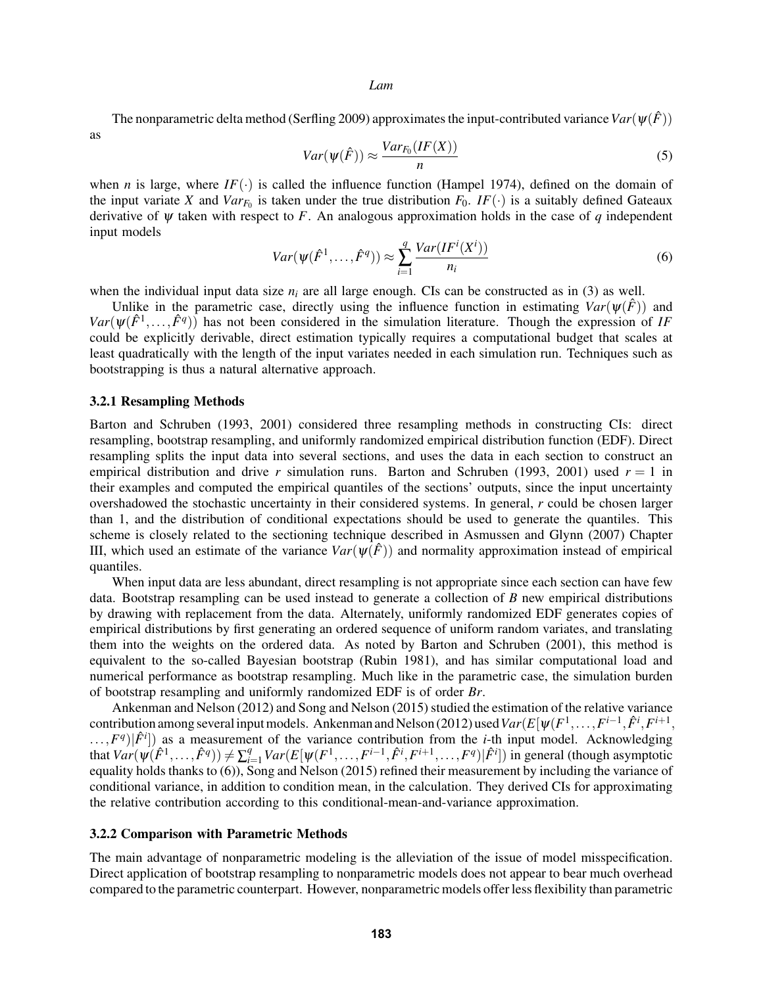The nonparametric delta method (Serfling 2009) approximates the input-contributed variance  $Var(\psi(\hat{F}))$ as

$$
Var(\psi(\hat{F})) \approx \frac{Var_{F_0}(IF(X))}{n}
$$
\n(5)

when *n* is large, where  $IF(\cdot)$  is called the influence function (Hampel 1974), defined on the domain of the input variate *X* and  $Var_{F_0}$  is taken under the true distribution  $F_0$ .  $IF(\cdot)$  is a suitably defined Gateaux derivative of ψ taken with respect to *F*. An analogous approximation holds in the case of *q* independent input models

$$
Var(\psi(\hat{F}^1, \dots, \hat{F}^q)) \approx \sum_{i=1}^q \frac{Var(IF^i(X^i))}{n_i}
$$
 (6)

when the individual input data size  $n_i$  are all large enough. CIs can be constructed as in (3) as well.

Unlike in the parametric case, directly using the influence function in estimating  $Var(\psi(\hat{F}))$  and  $Var(\psi(\hat{F}^1, \ldots, \hat{F}^q))$  has not been considered in the simulation literature. Though the expression of *IF* could be explicitly derivable, direct estimation typically requires a computational budget that scales at least quadratically with the length of the input variates needed in each simulation run. Techniques such as bootstrapping is thus a natural alternative approach.

#### 3.2.1 Resampling Methods

Barton and Schruben (1993, 2001) considered three resampling methods in constructing CIs: direct resampling, bootstrap resampling, and uniformly randomized empirical distribution function (EDF). Direct resampling splits the input data into several sections, and uses the data in each section to construct an empirical distribution and drive *r* simulation runs. Barton and Schruben (1993, 2001) used  $r = 1$  in their examples and computed the empirical quantiles of the sections' outputs, since the input uncertainty overshadowed the stochastic uncertainty in their considered systems. In general, *r* could be chosen larger than 1, and the distribution of conditional expectations should be used to generate the quantiles. This scheme is closely related to the sectioning technique described in Asmussen and Glynn (2007) Chapter III, which used an estimate of the variance  $Var(\psi(\hat{F}))$  and normality approximation instead of empirical quantiles.

When input data are less abundant, direct resampling is not appropriate since each section can have few data. Bootstrap resampling can be used instead to generate a collection of *B* new empirical distributions by drawing with replacement from the data. Alternately, uniformly randomized EDF generates copies of empirical distributions by first generating an ordered sequence of uniform random variates, and translating them into the weights on the ordered data. As noted by Barton and Schruben (2001), this method is equivalent to the so-called Bayesian bootstrap (Rubin 1981), and has similar computational load and numerical performance as bootstrap resampling. Much like in the parametric case, the simulation burden of bootstrap resampling and uniformly randomized EDF is of order *Br*.

Ankenman and Nelson  $(2012)$  and Song and Nelson  $(2015)$  studied the estimation of the relative variance contribution among several input models. Ankenman and Nelson (2012) used  $Var(E[\psi(F^1, \dots, F^{i-1}, \hat{F}^i, F^{i+1},$  $\ldots$ ,*F<sup>q</sup>*)| $\hat{F}^i$ ]) as a measurement of the variance contribution from the *i*-th input model. Acknowledging that  $Var(\psi(\hat{F}^1, ..., \hat{F}^q)) \neq \sum_{i=1}^q Var(E[\psi(F^1, ..., F^{i-1}, \hat{F}^i, F^{i+1}, ..., F^q)|\hat{F}^i])$  in general (though asymptotic equality holds thanks to (6)), Song and Nelson (2015) refined their measurement by including the variance of conditional variance, in addition to condition mean, in the calculation. They derived CIs for approximating the relative contribution according to this conditional-mean-and-variance approximation.

### 3.2.2 Comparison with Parametric Methods

The main advantage of nonparametric modeling is the alleviation of the issue of model misspecification. Direct application of bootstrap resampling to nonparametric models does not appear to bear much overhead compared to the parametric counterpart. However, nonparametric models offer less flexibility than parametric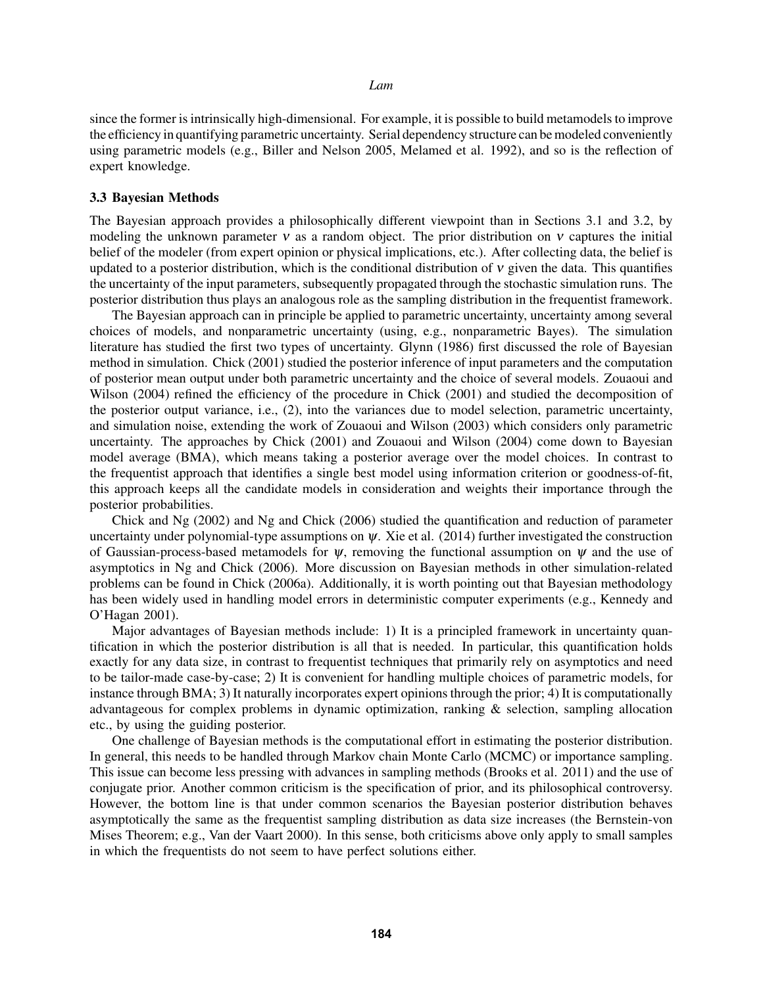since the former is intrinsically high-dimensional. For example, it is possible to build metamodels to improve the efficiency in quantifying parametric uncertainty. Serial dependency structure can be modeled conveniently using parametric models (e.g., Biller and Nelson 2005, Melamed et al. 1992), and so is the reflection of expert knowledge.

# 3.3 Bayesian Methods

The Bayesian approach provides a philosophically different viewpoint than in Sections 3.1 and 3.2, by modeling the unknown parameter  $v$  as a random object. The prior distribution on  $v$  captures the initial belief of the modeler (from expert opinion or physical implications, etc.). After collecting data, the belief is updated to a posterior distribution, which is the conditional distribution of  $v$  given the data. This quantifies the uncertainty of the input parameters, subsequently propagated through the stochastic simulation runs. The posterior distribution thus plays an analogous role as the sampling distribution in the frequentist framework.

The Bayesian approach can in principle be applied to parametric uncertainty, uncertainty among several choices of models, and nonparametric uncertainty (using, e.g., nonparametric Bayes). The simulation literature has studied the first two types of uncertainty. Glynn (1986) first discussed the role of Bayesian method in simulation. Chick (2001) studied the posterior inference of input parameters and the computation of posterior mean output under both parametric uncertainty and the choice of several models. Zouaoui and Wilson (2004) refined the efficiency of the procedure in Chick (2001) and studied the decomposition of the posterior output variance, i.e., (2), into the variances due to model selection, parametric uncertainty, and simulation noise, extending the work of Zouaoui and Wilson (2003) which considers only parametric uncertainty. The approaches by Chick (2001) and Zouaoui and Wilson (2004) come down to Bayesian model average (BMA), which means taking a posterior average over the model choices. In contrast to the frequentist approach that identifies a single best model using information criterion or goodness-of-fit, this approach keeps all the candidate models in consideration and weights their importance through the posterior probabilities.

Chick and Ng (2002) and Ng and Chick (2006) studied the quantification and reduction of parameter uncertainty under polynomial-type assumptions on  $\psi$ . Xie et al. (2014) further investigated the construction of Gaussian-process-based metamodels for  $\psi$ , removing the functional assumption on  $\psi$  and the use of asymptotics in Ng and Chick (2006). More discussion on Bayesian methods in other simulation-related problems can be found in Chick (2006a). Additionally, it is worth pointing out that Bayesian methodology has been widely used in handling model errors in deterministic computer experiments (e.g., Kennedy and O'Hagan 2001).

Major advantages of Bayesian methods include: 1) It is a principled framework in uncertainty quantification in which the posterior distribution is all that is needed. In particular, this quantification holds exactly for any data size, in contrast to frequentist techniques that primarily rely on asymptotics and need to be tailor-made case-by-case; 2) It is convenient for handling multiple choices of parametric models, for instance through BMA; 3) It naturally incorporates expert opinions through the prior; 4) It is computationally advantageous for complex problems in dynamic optimization, ranking & selection, sampling allocation etc., by using the guiding posterior.

One challenge of Bayesian methods is the computational effort in estimating the posterior distribution. In general, this needs to be handled through Markov chain Monte Carlo (MCMC) or importance sampling. This issue can become less pressing with advances in sampling methods (Brooks et al. 2011) and the use of conjugate prior. Another common criticism is the specification of prior, and its philosophical controversy. However, the bottom line is that under common scenarios the Bayesian posterior distribution behaves asymptotically the same as the frequentist sampling distribution as data size increases (the Bernstein-von Mises Theorem; e.g., Van der Vaart 2000). In this sense, both criticisms above only apply to small samples in which the frequentists do not seem to have perfect solutions either.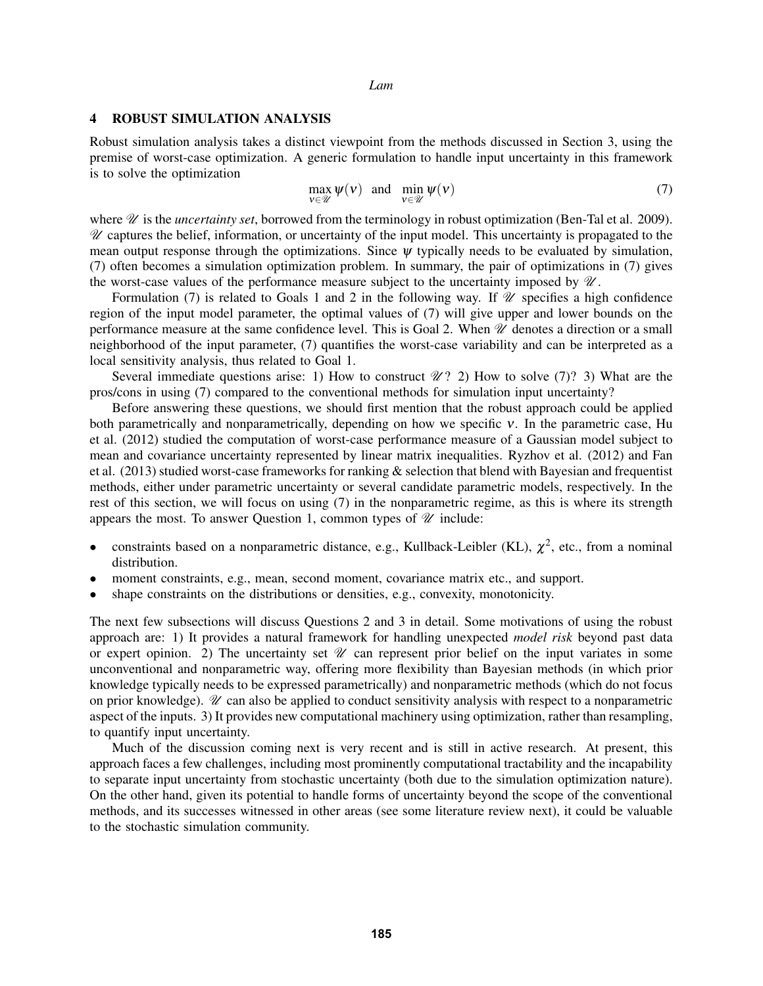### 4 ROBUST SIMULATION ANALYSIS

Robust simulation analysis takes a distinct viewpoint from the methods discussed in Section 3, using the premise of worst-case optimization. A generic formulation to handle input uncertainty in this framework is to solve the optimization

$$
\max_{v \in \mathcal{U}} \psi(v) \quad \text{and} \quad \min_{v \in \mathcal{U}} \psi(v) \tag{7}
$$

where *U* is the *uncertainty set*, borrowed from the terminology in robust optimization (Ben-Tal et al. 2009).  $\mathscr U$  captures the belief, information, or uncertainty of the input model. This uncertainty is propagated to the mean output response through the optimizations. Since  $\psi$  typically needs to be evaluated by simulation, (7) often becomes a simulation optimization problem. In summary, the pair of optimizations in (7) gives the worst-case values of the performance measure subject to the uncertainty imposed by  $\mathcal{U}$ .

Formulation (7) is related to Goals 1 and 2 in the following way. If  $\mathcal U$  specifies a high confidence region of the input model parameter, the optimal values of (7) will give upper and lower bounds on the performance measure at the same confidence level. This is Goal 2. When  $\mathcal U$  denotes a direction or a small neighborhood of the input parameter, (7) quantifies the worst-case variability and can be interpreted as a local sensitivity analysis, thus related to Goal 1.

Several immediate questions arise: 1) How to construct  $\mathcal{U}$ ? 2) How to solve (7)? 3) What are the pros/cons in using (7) compared to the conventional methods for simulation input uncertainty?

Before answering these questions, we should first mention that the robust approach could be applied both parametrically and nonparametrically, depending on how we specific ν. In the parametric case, Hu et al. (2012) studied the computation of worst-case performance measure of a Gaussian model subject to mean and covariance uncertainty represented by linear matrix inequalities. Ryzhov et al. (2012) and Fan et al. (2013) studied worst-case frameworks for ranking & selection that blend with Bayesian and frequentist methods, either under parametric uncertainty or several candidate parametric models, respectively. In the rest of this section, we will focus on using (7) in the nonparametric regime, as this is where its strength appears the most. To answer Question 1, common types of  $\mathcal U$  include:

- constraints based on a nonparametric distance, e.g., Kullback-Leibler (KL),  $\chi^2$ , etc., from a nominal distribution.
- moment constraints, e.g., mean, second moment, covariance matrix etc., and support.
- shape constraints on the distributions or densities, e.g., convexity, monotonicity.

The next few subsections will discuss Questions 2 and 3 in detail. Some motivations of using the robust approach are: 1) It provides a natural framework for handling unexpected *model risk* beyond past data or expert opinion. 2) The uncertainty set  $\mathcal U$  can represent prior belief on the input variates in some unconventional and nonparametric way, offering more flexibility than Bayesian methods (in which prior knowledge typically needs to be expressed parametrically) and nonparametric methods (which do not focus on prior knowledge).  $\mathcal U$  can also be applied to conduct sensitivity analysis with respect to a nonparametric aspect of the inputs. 3) It provides new computational machinery using optimization, rather than resampling, to quantify input uncertainty.

Much of the discussion coming next is very recent and is still in active research. At present, this approach faces a few challenges, including most prominently computational tractability and the incapability to separate input uncertainty from stochastic uncertainty (both due to the simulation optimization nature). On the other hand, given its potential to handle forms of uncertainty beyond the scope of the conventional methods, and its successes witnessed in other areas (see some literature review next), it could be valuable to the stochastic simulation community.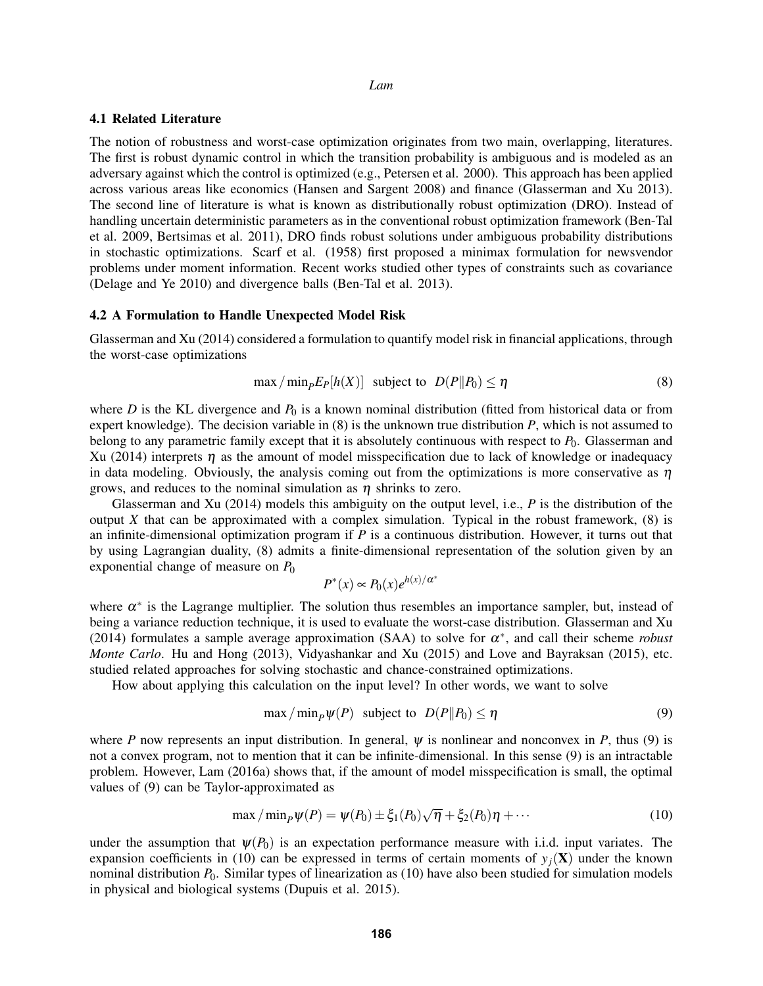### 4.1 Related Literature

The notion of robustness and worst-case optimization originates from two main, overlapping, literatures. The first is robust dynamic control in which the transition probability is ambiguous and is modeled as an adversary against which the control is optimized (e.g., Petersen et al. 2000). This approach has been applied across various areas like economics (Hansen and Sargent 2008) and finance (Glasserman and Xu 2013). The second line of literature is what is known as distributionally robust optimization (DRO). Instead of handling uncertain deterministic parameters as in the conventional robust optimization framework (Ben-Tal et al. 2009, Bertsimas et al. 2011), DRO finds robust solutions under ambiguous probability distributions in stochastic optimizations. Scarf et al. (1958) first proposed a minimax formulation for newsvendor problems under moment information. Recent works studied other types of constraints such as covariance (Delage and Ye 2010) and divergence balls (Ben-Tal et al. 2013).

### 4.2 A Formulation to Handle Unexpected Model Risk

Glasserman and Xu (2014) considered a formulation to quantify model risk in financial applications, through the worst-case optimizations

$$
\max/\min_{P} E_P[h(X)] \text{ subject to } D(P||P_0) \le \eta \tag{8}
$$

where *D* is the KL divergence and  $P_0$  is a known nominal distribution (fitted from historical data or from expert knowledge). The decision variable in (8) is the unknown true distribution *P*, which is not assumed to belong to any parametric family except that it is absolutely continuous with respect to  $P_0$ . Glasserman and Xu (2014) interprets  $η$  as the amount of model misspecification due to lack of knowledge or inadequacy in data modeling. Obviously, the analysis coming out from the optimizations is more conservative as  $\eta$ grows, and reduces to the nominal simulation as  $\eta$  shrinks to zero.

Glasserman and Xu (2014) models this ambiguity on the output level, i.e., *P* is the distribution of the output  $X$  that can be approximated with a complex simulation. Typical in the robust framework,  $(8)$  is an infinite-dimensional optimization program if *P* is a continuous distribution. However, it turns out that by using Lagrangian duality, (8) admits a finite-dimensional representation of the solution given by an exponential change of measure on  $P_0$ 

$$
P^*(x) \propto P_0(x)e^{h(x)/\alpha^*}
$$

where  $\alpha^*$  is the Lagrange multiplier. The solution thus resembles an importance sampler, but, instead of being a variance reduction technique, it is used to evaluate the worst-case distribution. Glasserman and Xu (2014) formulates a sample average approximation (SAA) to solve for  $\alpha^*$ , and call their scheme *robust Monte Carlo*. Hu and Hong (2013), Vidyashankar and Xu (2015) and Love and Bayraksan (2015), etc. studied related approaches for solving stochastic and chance-constrained optimizations.

How about applying this calculation on the input level? In other words, we want to solve

$$
\max/\min_{P} \psi(P) \quad \text{subject to} \quad D(P||P_0) \le \eta \tag{9}
$$

where *P* now represents an input distribution. In general,  $\psi$  is nonlinear and nonconvex in *P*, thus (9) is not a convex program, not to mention that it can be infinite-dimensional. In this sense (9) is an intractable problem. However, Lam (2016a) shows that, if the amount of model misspecification is small, the optimal values of (9) can be Taylor-approximated as

$$
\max/\min_{P} \psi(P) = \psi(P_0) \pm \xi_1(P_0)\sqrt{\eta} + \xi_2(P_0)\eta + \cdots
$$
 (10)

under the assumption that  $\psi(P_0)$  is an expectation performance measure with i.i.d. input variates. The expansion coefficients in (10) can be expressed in terms of certain moments of  $y_i(\mathbf{X})$  under the known nominal distribution *P*0. Similar types of linearization as (10) have also been studied for simulation models in physical and biological systems (Dupuis et al. 2015).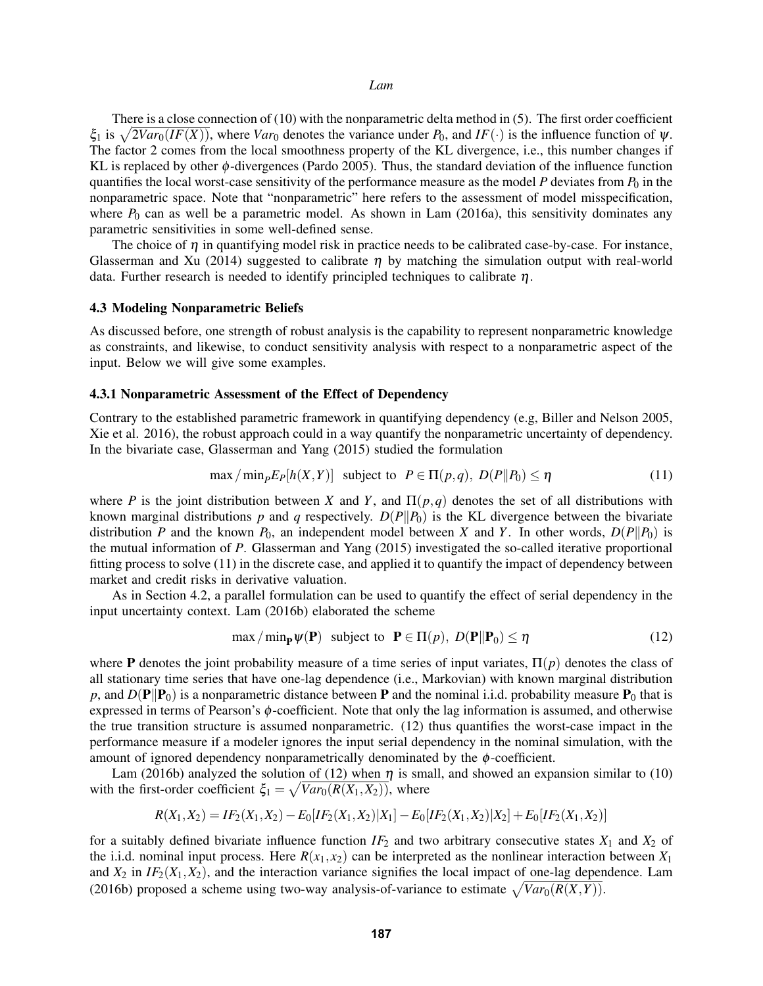There is a close connection of (10) with the nonparametric delta method in (5). The first order coefficient  $\xi_1$  is  $\sqrt{2Var_0(IF(X))}$ , where *Var*<sub>0</sub> denotes the variance under *P*<sub>0</sub>, and *IF*(·) is the influence function of  $\psi$ . The factor 2 comes from the local smoothness property of the KL divergence, i.e., this number changes if KL is replaced by other  $\phi$ -divergences (Pardo 2005). Thus, the standard deviation of the influence function quantifies the local worst-case sensitivity of the performance measure as the model *P* deviates from *P*<sup>0</sup> in the nonparametric space. Note that "nonparametric" here refers to the assessment of model misspecification, where  $P_0$  can as well be a parametric model. As shown in Lam (2016a), this sensitivity dominates any parametric sensitivities in some well-defined sense.

The choice of  $\eta$  in quantifying model risk in practice needs to be calibrated case-by-case. For instance, Glasserman and Xu (2014) suggested to calibrate  $\eta$  by matching the simulation output with real-world data. Further research is needed to identify principled techniques to calibrate  $\eta$ .

#### 4.3 Modeling Nonparametric Beliefs

As discussed before, one strength of robust analysis is the capability to represent nonparametric knowledge as constraints, and likewise, to conduct sensitivity analysis with respect to a nonparametric aspect of the input. Below we will give some examples.

#### 4.3.1 Nonparametric Assessment of the Effect of Dependency

Contrary to the established parametric framework in quantifying dependency (e.g, Biller and Nelson 2005, Xie et al. 2016), the robust approach could in a way quantify the nonparametric uncertainty of dependency. In the bivariate case, Glasserman and Yang (2015) studied the formulation

$$
\max/\min_{P} E_P[h(X, Y)] \text{ subject to } P \in \Pi(p, q), D(P \| P_0) \le \eta
$$
\n(11)

where *P* is the joint distribution between *X* and *Y*, and  $\Pi(p,q)$  denotes the set of all distributions with known marginal distributions p and q respectively.  $D(P||P_0)$  is the KL divergence between the bivariate distribution *P* and the known  $P_0$ , an independent model between *X* and *Y*. In other words,  $D(P||P_0)$  is the mutual information of *P*. Glasserman and Yang (2015) investigated the so-called iterative proportional fitting process to solve (11) in the discrete case, and applied it to quantify the impact of dependency between market and credit risks in derivative valuation.

As in Section 4.2, a parallel formulation can be used to quantify the effect of serial dependency in the input uncertainty context. Lam (2016b) elaborated the scheme

$$
\max/\min_{\mathbf{P}} \psi(\mathbf{P}) \text{ subject to } \mathbf{P} \in \Pi(p), D(\mathbf{P} \|\mathbf{P}_0) \le \eta \tag{12}
$$

where **P** denotes the joint probability measure of a time series of input variates,  $\Pi(p)$  denotes the class of all stationary time series that have one-lag dependence (i.e., Markovian) with known marginal distribution *p*, and  $D(\mathbf{P}||\mathbf{P}_0)$  is a nonparametric distance between **P** and the nominal i.i.d. probability measure **P**<sub>0</sub> that is expressed in terms of Pearson's φ-coefficient. Note that only the lag information is assumed, and otherwise the true transition structure is assumed nonparametric. (12) thus quantifies the worst-case impact in the performance measure if a modeler ignores the input serial dependency in the nominal simulation, with the amount of ignored dependency nonparametrically denominated by the  $\phi$ -coefficient.

Lam (2016b) analyzed the solution of (12) when  $\eta$  is small, and showed an expansion similar to (10) with the first-order coefficient  $\xi_1 = \sqrt{Var_0(R(X_1, X_2))}$ , where

$$
R(X_1, X_2) = IF_2(X_1, X_2) - E_0[IF_2(X_1, X_2)|X_1] - E_0[IF_2(X_1, X_2)|X_2] + E_0[IF_2(X_1, X_2)]
$$

for a suitably defined bivariate influence function  $IF_2$  and two arbitrary consecutive states  $X_1$  and  $X_2$  of the i.i.d. nominal input process. Here  $R(x_1, x_2)$  can be interpreted as the nonlinear interaction between  $X_1$ and  $X_2$  in  $IF_2(X_1, X_2)$ , and the interaction variance signifies the local impact of one-lag dependence. Lam (2016b) proposed a scheme using two-way analysis-of-variance to estimate  $\sqrt{Var_0(R(X,Y))}$ .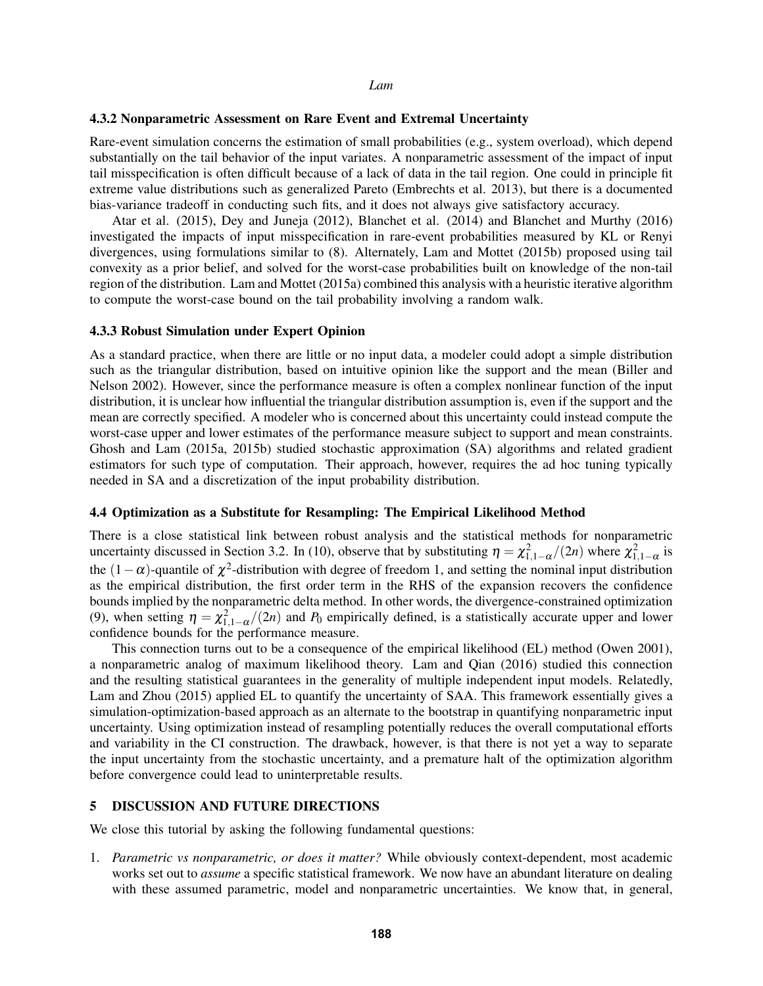### 4.3.2 Nonparametric Assessment on Rare Event and Extremal Uncertainty

Rare-event simulation concerns the estimation of small probabilities (e.g., system overload), which depend substantially on the tail behavior of the input variates. A nonparametric assessment of the impact of input tail misspecification is often difficult because of a lack of data in the tail region. One could in principle fit extreme value distributions such as generalized Pareto (Embrechts et al. 2013), but there is a documented bias-variance tradeoff in conducting such fits, and it does not always give satisfactory accuracy.

Atar et al. (2015), Dey and Juneja (2012), Blanchet et al. (2014) and Blanchet and Murthy (2016) investigated the impacts of input misspecification in rare-event probabilities measured by KL or Renyi divergences, using formulations similar to (8). Alternately, Lam and Mottet (2015b) proposed using tail convexity as a prior belief, and solved for the worst-case probabilities built on knowledge of the non-tail region of the distribution. Lam and Mottet (2015a) combined this analysis with a heuristic iterative algorithm to compute the worst-case bound on the tail probability involving a random walk.

### 4.3.3 Robust Simulation under Expert Opinion

As a standard practice, when there are little or no input data, a modeler could adopt a simple distribution such as the triangular distribution, based on intuitive opinion like the support and the mean (Biller and Nelson 2002). However, since the performance measure is often a complex nonlinear function of the input distribution, it is unclear how influential the triangular distribution assumption is, even if the support and the mean are correctly specified. A modeler who is concerned about this uncertainty could instead compute the worst-case upper and lower estimates of the performance measure subject to support and mean constraints. Ghosh and Lam (2015a, 2015b) studied stochastic approximation (SA) algorithms and related gradient estimators for such type of computation. Their approach, however, requires the ad hoc tuning typically needed in SA and a discretization of the input probability distribution.

### 4.4 Optimization as a Substitute for Resampling: The Empirical Likelihood Method

There is a close statistical link between robust analysis and the statistical methods for nonparametric uncertainty discussed in Section 3.2. In (10), observe that by substituting  $\eta = \chi^2_{1,1-\alpha}/(2n)$  where  $\chi^2_{1,1-\alpha}$  is the  $(1 - \alpha)$ -quantile of  $\chi^2$ -distribution with degree of freedom 1, and setting the nominal input distribution as the empirical distribution, the first order term in the RHS of the expansion recovers the confidence bounds implied by the nonparametric delta method. In other words, the divergence-constrained optimization (9), when setting  $\eta = \chi^2_{1,1-\alpha}/(2n)$  and  $P_0$  empirically defined, is a statistically accurate upper and lower confidence bounds for the performance measure.

This connection turns out to be a consequence of the empirical likelihood (EL) method (Owen 2001), a nonparametric analog of maximum likelihood theory. Lam and Qian (2016) studied this connection and the resulting statistical guarantees in the generality of multiple independent input models. Relatedly, Lam and Zhou (2015) applied EL to quantify the uncertainty of SAA. This framework essentially gives a simulation-optimization-based approach as an alternate to the bootstrap in quantifying nonparametric input uncertainty. Using optimization instead of resampling potentially reduces the overall computational efforts and variability in the CI construction. The drawback, however, is that there is not yet a way to separate the input uncertainty from the stochastic uncertainty, and a premature halt of the optimization algorithm before convergence could lead to uninterpretable results.

### 5 DISCUSSION AND FUTURE DIRECTIONS

We close this tutorial by asking the following fundamental questions:

1. *Parametric vs nonparametric, or does it matter?* While obviously context-dependent, most academic works set out to *assume* a specific statistical framework. We now have an abundant literature on dealing with these assumed parametric, model and nonparametric uncertainties. We know that, in general,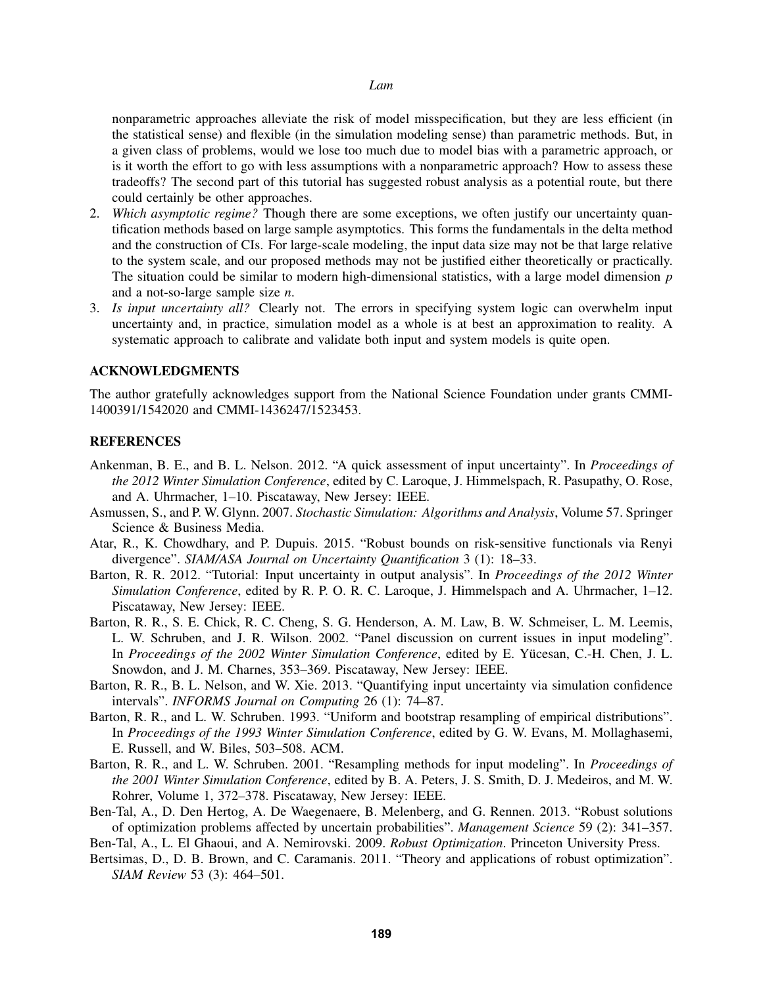nonparametric approaches alleviate the risk of model misspecification, but they are less efficient (in the statistical sense) and flexible (in the simulation modeling sense) than parametric methods. But, in a given class of problems, would we lose too much due to model bias with a parametric approach, or is it worth the effort to go with less assumptions with a nonparametric approach? How to assess these tradeoffs? The second part of this tutorial has suggested robust analysis as a potential route, but there could certainly be other approaches.

- 2. *Which asymptotic regime?* Though there are some exceptions, we often justify our uncertainty quantification methods based on large sample asymptotics. This forms the fundamentals in the delta method and the construction of CIs. For large-scale modeling, the input data size may not be that large relative to the system scale, and our proposed methods may not be justified either theoretically or practically. The situation could be similar to modern high-dimensional statistics, with a large model dimension *p* and a not-so-large sample size *n*.
- 3. *Is input uncertainty all?* Clearly not. The errors in specifying system logic can overwhelm input uncertainty and, in practice, simulation model as a whole is at best an approximation to reality. A systematic approach to calibrate and validate both input and system models is quite open.

### ACKNOWLEDGMENTS

The author gratefully acknowledges support from the National Science Foundation under grants CMMI-1400391/1542020 and CMMI-1436247/1523453.

## **REFERENCES**

- Ankenman, B. E., and B. L. Nelson. 2012. "A quick assessment of input uncertainty". In *Proceedings of the 2012 Winter Simulation Conference*, edited by C. Laroque, J. Himmelspach, R. Pasupathy, O. Rose, and A. Uhrmacher, 1–10. Piscataway, New Jersey: IEEE.
- Asmussen, S., and P. W. Glynn. 2007. *Stochastic Simulation: Algorithms and Analysis*, Volume 57. Springer Science & Business Media.
- Atar, R., K. Chowdhary, and P. Dupuis. 2015. "Robust bounds on risk-sensitive functionals via Renyi divergence". *SIAM/ASA Journal on Uncertainty Quantification* 3 (1): 18–33.
- Barton, R. R. 2012. "Tutorial: Input uncertainty in output analysis". In *Proceedings of the 2012 Winter Simulation Conference*, edited by R. P. O. R. C. Laroque, J. Himmelspach and A. Uhrmacher, 1–12. Piscataway, New Jersey: IEEE.
- Barton, R. R., S. E. Chick, R. C. Cheng, S. G. Henderson, A. M. Law, B. W. Schmeiser, L. M. Leemis, L. W. Schruben, and J. R. Wilson. 2002. "Panel discussion on current issues in input modeling". In *Proceedings of the 2002 Winter Simulation Conference*, edited by E. Yücesan, C.-H. Chen, J. L. Snowdon, and J. M. Charnes, 353–369. Piscataway, New Jersey: IEEE.
- Barton, R. R., B. L. Nelson, and W. Xie. 2013. "Quantifying input uncertainty via simulation confidence intervals". *INFORMS Journal on Computing* 26 (1): 74–87.
- Barton, R. R., and L. W. Schruben. 1993. "Uniform and bootstrap resampling of empirical distributions". In *Proceedings of the 1993 Winter Simulation Conference*, edited by G. W. Evans, M. Mollaghasemi, E. Russell, and W. Biles, 503–508. ACM.
- Barton, R. R., and L. W. Schruben. 2001. "Resampling methods for input modeling". In *Proceedings of the 2001 Winter Simulation Conference*, edited by B. A. Peters, J. S. Smith, D. J. Medeiros, and M. W. Rohrer, Volume 1, 372–378. Piscataway, New Jersey: IEEE.
- Ben-Tal, A., D. Den Hertog, A. De Waegenaere, B. Melenberg, and G. Rennen. 2013. "Robust solutions of optimization problems affected by uncertain probabilities". *Management Science* 59 (2): 341–357.

Ben-Tal, A., L. El Ghaoui, and A. Nemirovski. 2009. *Robust Optimization*. Princeton University Press.

Bertsimas, D., D. B. Brown, and C. Caramanis. 2011. "Theory and applications of robust optimization". *SIAM Review* 53 (3): 464–501.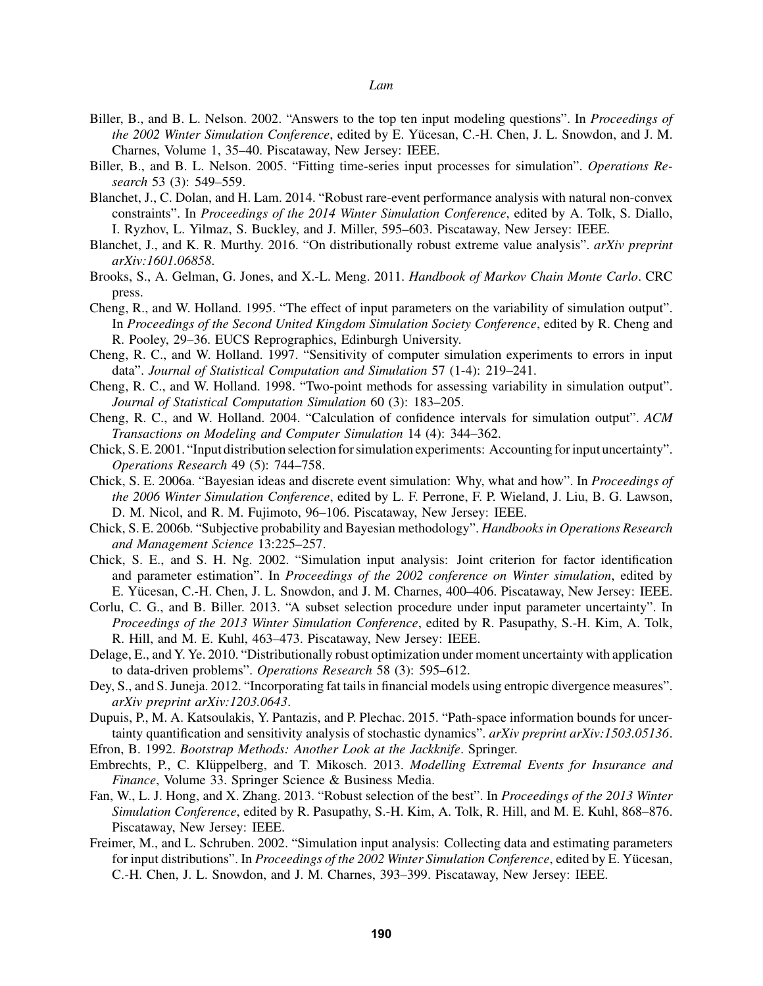- Biller, B., and B. L. Nelson. 2002. "Answers to the top ten input modeling questions". In *Proceedings of the 2002 Winter Simulation Conference*, edited by E. Yucesan, C.-H. Chen, J. L. Snowdon, and J. M. ¨ Charnes, Volume 1, 35–40. Piscataway, New Jersey: IEEE.
- Biller, B., and B. L. Nelson. 2005. "Fitting time-series input processes for simulation". *Operations Research* 53 (3): 549–559.
- Blanchet, J., C. Dolan, and H. Lam. 2014. "Robust rare-event performance analysis with natural non-convex constraints". In *Proceedings of the 2014 Winter Simulation Conference*, edited by A. Tolk, S. Diallo, I. Ryzhov, L. Yilmaz, S. Buckley, and J. Miller, 595–603. Piscataway, New Jersey: IEEE.
- Blanchet, J., and K. R. Murthy. 2016. "On distributionally robust extreme value analysis". *arXiv preprint arXiv:1601.06858*.
- Brooks, S., A. Gelman, G. Jones, and X.-L. Meng. 2011. *Handbook of Markov Chain Monte Carlo*. CRC press.
- Cheng, R., and W. Holland. 1995. "The effect of input parameters on the variability of simulation output". In *Proceedings of the Second United Kingdom Simulation Society Conference*, edited by R. Cheng and R. Pooley, 29–36. EUCS Reprographics, Edinburgh University.
- Cheng, R. C., and W. Holland. 1997. "Sensitivity of computer simulation experiments to errors in input data". *Journal of Statistical Computation and Simulation* 57 (1-4): 219–241.
- Cheng, R. C., and W. Holland. 1998. "Two-point methods for assessing variability in simulation output". *Journal of Statistical Computation Simulation* 60 (3): 183–205.
- Cheng, R. C., and W. Holland. 2004. "Calculation of confidence intervals for simulation output". *ACM Transactions on Modeling and Computer Simulation* 14 (4): 344–362.
- Chick, S. E. 2001. "Input distribution selection for simulation experiments: Accounting for input uncertainty". *Operations Research* 49 (5): 744–758.
- Chick, S. E. 2006a. "Bayesian ideas and discrete event simulation: Why, what and how". In *Proceedings of the 2006 Winter Simulation Conference*, edited by L. F. Perrone, F. P. Wieland, J. Liu, B. G. Lawson, D. M. Nicol, and R. M. Fujimoto, 96–106. Piscataway, New Jersey: IEEE.
- Chick, S. E. 2006b. "Subjective probability and Bayesian methodology". *Handbooks in Operations Research and Management Science* 13:225–257.
- Chick, S. E., and S. H. Ng. 2002. "Simulation input analysis: Joint criterion for factor identification and parameter estimation". In *Proceedings of the 2002 conference on Winter simulation*, edited by E. Yücesan, C.-H. Chen, J. L. Snowdon, and J. M. Charnes, 400–406. Piscataway, New Jersey: IEEE.
- Corlu, C. G., and B. Biller. 2013. "A subset selection procedure under input parameter uncertainty". In *Proceedings of the 2013 Winter Simulation Conference*, edited by R. Pasupathy, S.-H. Kim, A. Tolk, R. Hill, and M. E. Kuhl, 463–473. Piscataway, New Jersey: IEEE.
- Delage, E., and Y. Ye. 2010. "Distributionally robust optimization under moment uncertainty with application to data-driven problems". *Operations Research* 58 (3): 595–612.
- Dey, S., and S. Juneja. 2012. "Incorporating fat tails in financial models using entropic divergence measures". *arXiv preprint arXiv:1203.0643*.
- Dupuis, P., M. A. Katsoulakis, Y. Pantazis, and P. Plechac. 2015. "Path-space information bounds for uncertainty quantification and sensitivity analysis of stochastic dynamics". *arXiv preprint arXiv:1503.05136*.
- Efron, B. 1992. *Bootstrap Methods: Another Look at the Jackknife*. Springer.
- Embrechts, P., C. Klüppelberg, and T. Mikosch. 2013. Modelling Extremal Events for Insurance and *Finance*, Volume 33. Springer Science & Business Media.
- Fan, W., L. J. Hong, and X. Zhang. 2013. "Robust selection of the best". In *Proceedings of the 2013 Winter Simulation Conference*, edited by R. Pasupathy, S.-H. Kim, A. Tolk, R. Hill, and M. E. Kuhl, 868–876. Piscataway, New Jersey: IEEE.
- Freimer, M., and L. Schruben. 2002. "Simulation input analysis: Collecting data and estimating parameters for input distributions". In *Proceedings of the 2002 Winter Simulation Conference*, edited by E. Yücesan, C.-H. Chen, J. L. Snowdon, and J. M. Charnes, 393–399. Piscataway, New Jersey: IEEE.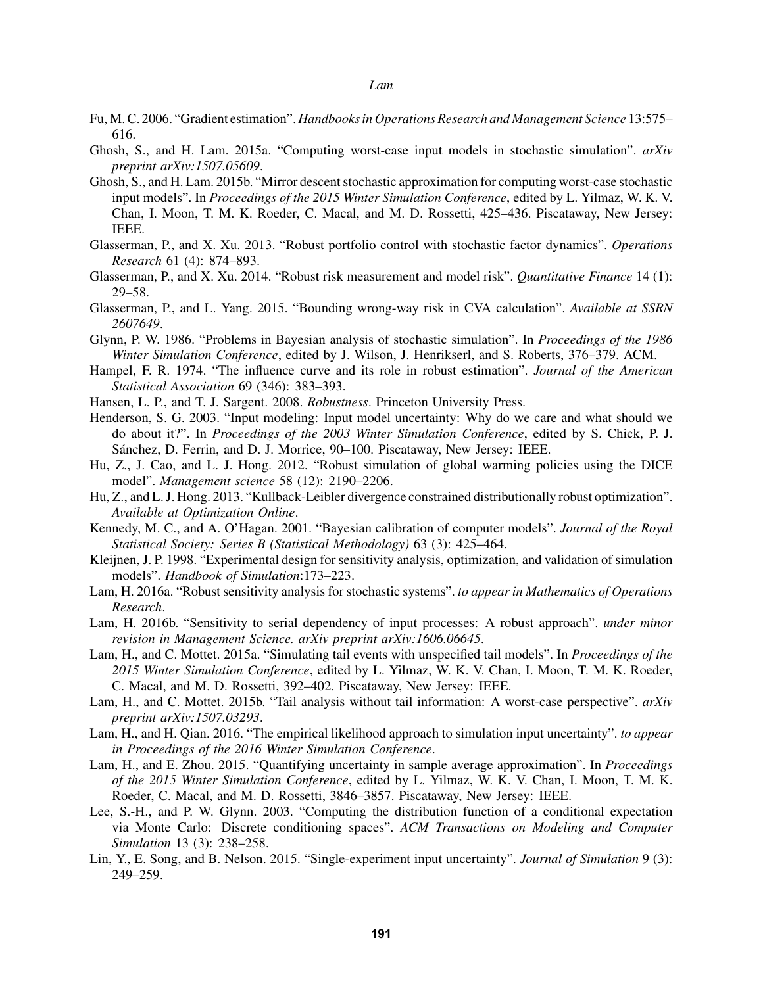- Fu, M. C. 2006. "Gradient estimation". *Handbooks in Operations Research and Management Science* 13:575– 616.
- Ghosh, S., and H. Lam. 2015a. "Computing worst-case input models in stochastic simulation". *arXiv preprint arXiv:1507.05609*.
- Ghosh, S., and H. Lam. 2015b. "Mirror descent stochastic approximation for computing worst-case stochastic input models". In *Proceedings of the 2015 Winter Simulation Conference*, edited by L. Yilmaz, W. K. V. Chan, I. Moon, T. M. K. Roeder, C. Macal, and M. D. Rossetti, 425–436. Piscataway, New Jersey: IEEE.
- Glasserman, P., and X. Xu. 2013. "Robust portfolio control with stochastic factor dynamics". *Operations Research* 61 (4): 874–893.
- Glasserman, P., and X. Xu. 2014. "Robust risk measurement and model risk". *Quantitative Finance* 14 (1): 29–58.
- Glasserman, P., and L. Yang. 2015. "Bounding wrong-way risk in CVA calculation". *Available at SSRN 2607649*.
- Glynn, P. W. 1986. "Problems in Bayesian analysis of stochastic simulation". In *Proceedings of the 1986 Winter Simulation Conference*, edited by J. Wilson, J. Henrikserl, and S. Roberts, 376–379. ACM.
- Hampel, F. R. 1974. "The influence curve and its role in robust estimation". *Journal of the American Statistical Association* 69 (346): 383–393.
- Hansen, L. P., and T. J. Sargent. 2008. *Robustness*. Princeton University Press.
- Henderson, S. G. 2003. "Input modeling: Input model uncertainty: Why do we care and what should we do about it?". In *Proceedings of the 2003 Winter Simulation Conference*, edited by S. Chick, P. J. Sánchez, D. Ferrin, and D. J. Morrice, 90–100. Piscataway, New Jersey: IEEE.
- Hu, Z., J. Cao, and L. J. Hong. 2012. "Robust simulation of global warming policies using the DICE model". *Management science* 58 (12): 2190–2206.
- Hu, Z., and L. J. Hong. 2013. "Kullback-Leibler divergence constrained distributionally robust optimization". *Available at Optimization Online*.
- Kennedy, M. C., and A. O'Hagan. 2001. "Bayesian calibration of computer models". *Journal of the Royal Statistical Society: Series B (Statistical Methodology)* 63 (3): 425–464.
- Kleijnen, J. P. 1998. "Experimental design for sensitivity analysis, optimization, and validation of simulation models". *Handbook of Simulation*:173–223.
- Lam, H. 2016a. "Robust sensitivity analysis for stochastic systems". *to appear in Mathematics of Operations Research*.
- Lam, H. 2016b. "Sensitivity to serial dependency of input processes: A robust approach". *under minor revision in Management Science. arXiv preprint arXiv:1606.06645*.
- Lam, H., and C. Mottet. 2015a. "Simulating tail events with unspecified tail models". In *Proceedings of the 2015 Winter Simulation Conference*, edited by L. Yilmaz, W. K. V. Chan, I. Moon, T. M. K. Roeder, C. Macal, and M. D. Rossetti, 392–402. Piscataway, New Jersey: IEEE.
- Lam, H., and C. Mottet. 2015b. "Tail analysis without tail information: A worst-case perspective". *arXiv preprint arXiv:1507.03293*.
- Lam, H., and H. Qian. 2016. "The empirical likelihood approach to simulation input uncertainty". *to appear in Proceedings of the 2016 Winter Simulation Conference*.
- Lam, H., and E. Zhou. 2015. "Quantifying uncertainty in sample average approximation". In *Proceedings of the 2015 Winter Simulation Conference*, edited by L. Yilmaz, W. K. V. Chan, I. Moon, T. M. K. Roeder, C. Macal, and M. D. Rossetti, 3846–3857. Piscataway, New Jersey: IEEE.
- Lee, S.-H., and P. W. Glynn. 2003. "Computing the distribution function of a conditional expectation via Monte Carlo: Discrete conditioning spaces". *ACM Transactions on Modeling and Computer Simulation* 13 (3): 238–258.
- Lin, Y., E. Song, and B. Nelson. 2015. "Single-experiment input uncertainty". *Journal of Simulation* 9 (3): 249–259.